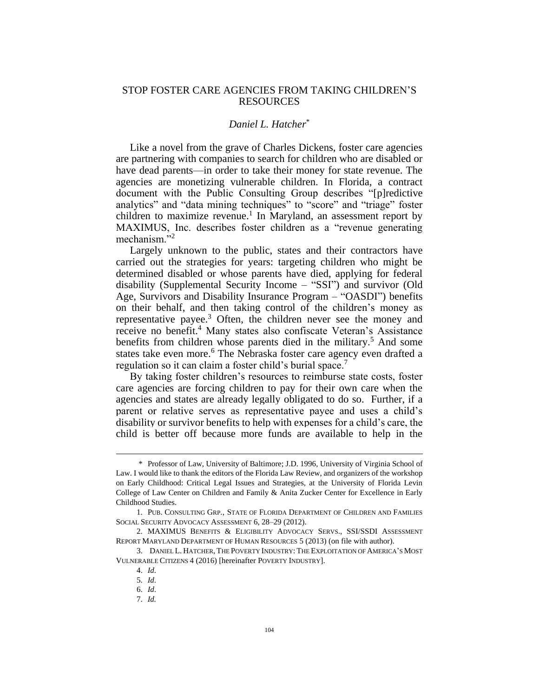# STOP FOSTER CARE AGENCIES FROM TAKING CHILDREN'S RESOURCES

# *Daniel L. Hatcher*\*

Like a novel from the grave of Charles Dickens, foster care agencies are partnering with companies to search for children who are disabled or have dead parents—in order to take their money for state revenue. The agencies are monetizing vulnerable children. In Florida, a contract document with the Public Consulting Group describes "[p]redictive analytics" and "data mining techniques" to "score" and "triage" foster children to maximize revenue.<sup>1</sup> In Maryland, an assessment report by MAXIMUS, Inc. describes foster children as a "revenue generating mechanism."<sup>2</sup>

Largely unknown to the public, states and their contractors have carried out the strategies for years: targeting children who might be determined disabled or whose parents have died, applying for federal disability (Supplemental Security Income – "SSI") and survivor (Old Age, Survivors and Disability Insurance Program – "OASDI") benefits on their behalf, and then taking control of the children's money as representative payee.<sup>3</sup> Often, the children never see the money and receive no benefit.<sup>4</sup> Many states also confiscate Veteran's Assistance benefits from children whose parents died in the military.<sup>5</sup> And some states take even more.<sup>6</sup> The Nebraska foster care agency even drafted a regulation so it can claim a foster child's burial space.<sup>7</sup>

<span id="page-0-0"></span>By taking foster children's resources to reimburse state costs, foster care agencies are forcing children to pay for their own care when the agencies and states are already legally obligated to do so. Further, if a parent or relative serves as representative payee and uses a child's disability or survivor benefits to help with expenses for a child's care, the child is better off because more funds are available to help in the

<sup>\*</sup> Professor of Law, University of Baltimore; J.D. 1996, University of Virginia School of Law. I would like to thank the editors of the Florida Law Review, and organizers of the workshop on Early Childhood: Critical Legal Issues and Strategies, at the University of Florida Levin College of Law Center on Children and Family & Anita Zucker Center for Excellence in Early Childhood Studies.

<sup>1.</sup> PUB. CONSULTING GRP., STATE OF FLORIDA DEPARTMENT OF CHILDREN AND FAMILIES SOCIAL SECURITY ADVOCACY ASSESSMENT 6, 28–29 (2012).

<sup>2.</sup> MAXIMUS BENEFITS & ELIGIBILITY ADVOCACY SERVS., SSI/SSDI ASSESSMENT REPORT MARYLAND DEPARTMENT OF HUMAN RESOURCES 5 (2013) (on file with author).

<sup>3.</sup> DANIEL L. HATCHER, THE POVERTY INDUSTRY: THE EXPLOITATION OF AMERICA'S MOST VULNERABLE CITIZENS 4 (2016) [hereinafter POVERTY INDUSTRY].

<sup>4.</sup> *Id*.

<sup>5.</sup> *Id*.

<sup>6.</sup> *Id*.

<sup>7.</sup> *Id.*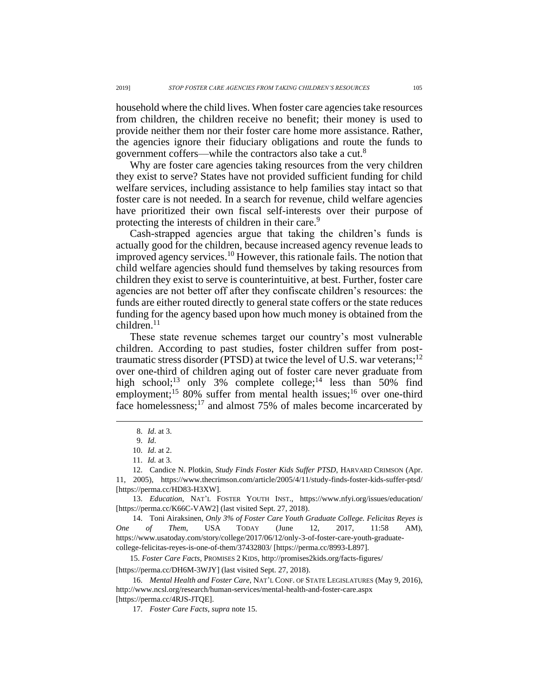household where the child lives. When foster care agencies take resources from children, the children receive no benefit; their money is used to provide neither them nor their foster care home more assistance. Rather, the agencies ignore their fiduciary obligations and route the funds to government coffers—while the contractors also take a cut.<sup>8</sup>

Why are foster care agencies taking resources from the very children they exist to serve? States have not provided sufficient funding for child welfare services, including assistance to help families stay intact so that foster care is not needed. In a search for revenue, child welfare agencies have prioritized their own fiscal self-interests over their purpose of protecting the interests of children in their care.<sup>9</sup>

Cash-strapped agencies argue that taking the children's funds is actually good for the children, because increased agency revenue leads to improved agency services.<sup>10</sup> However, this rationale fails. The notion that child welfare agencies should fund themselves by taking resources from children they exist to serve is counterintuitive, at best. Further, foster care agencies are not better off after they confiscate children's resources: the funds are either routed directly to general state coffers or the state reduces funding for the agency based upon how much money is obtained from the children.<sup>11</sup>

These state revenue schemes target our country's most vulnerable children. According to past studies, foster children suffer from posttraumatic stress disorder (PTSD) at twice the level of U.S. war veterans;<sup>12</sup> over one-third of children aging out of foster care never graduate from high school;<sup>13</sup> only 3% complete college;<sup>14</sup> less than 50% find employment;<sup>15</sup> 80% suffer from mental health issues;<sup>16</sup> over one-third face homelessness;<sup>17</sup> and almost 75% of males become incarcerated by

 $\overline{a}$ 

13. *Education*, NAT'L FOSTER YOUTH INST., https://www.nfyi.org/issues/education/ [https://perma.cc/K66C-VAW2] (last visited Sept. 27, 2018).

14. Toni Airaksinen, *Only 3% of Foster Care Youth Graduate College. Felicitas Reyes is One of Them*, USA TODAY (June 12, 2017, 11:58 AM), https://www.usatoday.com/story/college/2017/06/12/only-3-of-foster-care-youth-graduatecollege-felicitas-reyes-is-one-of-them/37432803/ [https://perma.cc/8993-L897].

15. *Foster Care Facts*, PROMISES 2 KIDS, http://promises2kids.org/facts-figures/ [https://perma.cc/DH6M-3WJY] (last visited Sept. 27, 2018).

16. *Mental Health and Foster Care*, NAT'L CONF. OF STATE LEGISLATURES (May 9, 2016), http://www.ncsl.org/research/human-services/mental-health-and-foster-care.aspx [https://perma.cc/4RJS-JTQE].

17. *Foster Care Facts*, *supra* note [15.](#page-1-0)

<span id="page-1-0"></span><sup>8.</sup> *Id*. at 3.

<sup>9.</sup> *Id*.

<sup>10.</sup> *Id*. at 2.

<sup>11.</sup> *Id.* at 3.

<sup>12.</sup> Candice N. Plotkin, *Study Finds Foster Kids Suffer PTSD*, HARVARD CRIMSON (Apr. 11, 2005), https://www.thecrimson.com/article/2005/4/11/study-finds-foster-kids-suffer-ptsd/ [https://perma.cc/HD83-H3XW].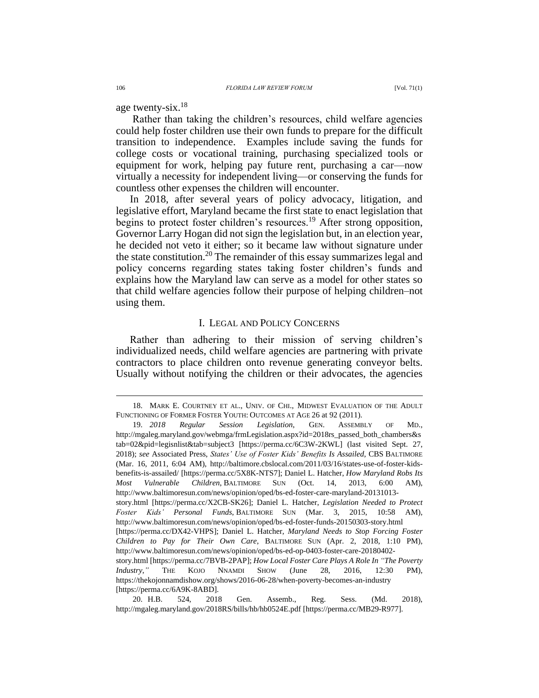age twenty-six.<sup>18</sup>

Rather than taking the children's resources, child welfare agencies could help foster children use their own funds to prepare for the difficult transition to independence. Examples include saving the funds for college costs or vocational training, purchasing specialized tools or equipment for work, helping pay future rent, purchasing a car—now virtually a necessity for independent living—or conserving the funds for countless other expenses the children will encounter.

In 2018, after several years of policy advocacy, litigation, and legislative effort, Maryland became the first state to enact legislation that begins to protect foster children's resources.<sup>19</sup> After strong opposition, Governor Larry Hogan did not sign the legislation but, in an election year, he decided not veto it either; so it became law without signature under the state constitution.<sup>20</sup> The remainder of this essay summarizes legal and policy concerns regarding states taking foster children's funds and explains how the Maryland law can serve as a model for other states so that child welfare agencies follow their purpose of helping children–not using them.

### I. LEGAL AND POLICY CONCERNS

Rather than adhering to their mission of serving children's individualized needs, child welfare agencies are partnering with private contractors to place children onto revenue generating conveyor belts. Usually without notifying the children or their advocates, the agencies

<sup>18.</sup> MARK E. COURTNEY ET AL., UNIV. OF CHI., MIDWEST EVALUATION OF THE ADULT FUNCTIONING OF FORMER FOSTER YOUTH: OUTCOMES AT AGE 26 at 92 (2011).

<sup>19.</sup> *2018 Regular Session Legislation*, GEN. ASSEMBLY OF MD., http://mgaleg.maryland.gov/webmga/frmLegislation.aspx?id=2018rs\_passed\_both\_chambers&s tab=02&pid=legisnlist&tab=subject3 [https://perma.cc/6C3W-2KWL] (last visited Sept. 27, 2018); *see* Associated Press, *States' Use of Foster Kids' Benefits Is Assailed*, CBS BALTIMORE (Mar. 16, 2011, 6:04 AM), http://baltimore.cbslocal.com/2011/03/16/states-use-of-foster-kidsbenefits-is-assailed/ [https://perma.cc/5X8K-NTS7]; Daniel L. Hatcher, *How Maryland Robs Its Most Vulnerable Children*, BALTIMORE SUN (Oct. 14, 2013, 6:00 AM), http://www.baltimoresun.com/news/opinion/oped/bs-ed-foster-care-maryland-20131013 story.html [https://perma.cc/X2CB-SK26]; Daniel L. Hatcher, *Legislation Needed to Protect Foster Kids' Personal Funds*, BALTIMORE SUN (Mar. 3, 2015, 10:58 AM), http://www.baltimoresun.com/news/opinion/oped/bs-ed-foster-funds-20150303-story.html [https://perma.cc/DX42-VHPS]; Daniel L. Hatcher, *Maryland Needs to Stop Forcing Foster Children to Pay for Their Own Care*, BALTIMORE SUN (Apr. 2, 2018, 1:10 PM), http://www.baltimoresun.com/news/opinion/oped/bs-ed-op-0403-foster-care-20180402 story.html [https://perma.cc/7BVB-2PAP]; *How Local Foster Care Plays A Role In "The Poverty Industry*,*"* THE KOJO NNAMDI SHOW (June 28, 2016, 12:30 PM), https://thekojonnamdishow.org/shows/2016-06-28/when-poverty-becomes-an-industry [https://perma.cc/6A9K-8ABD].

<sup>20.</sup> H.B. 524, 2018 Gen. Assemb., Reg. Sess. (Md. 2018), http://mgaleg.maryland.gov/2018RS/bills/hb/hb0524E.pdf [https://perma.cc/MB29-R977].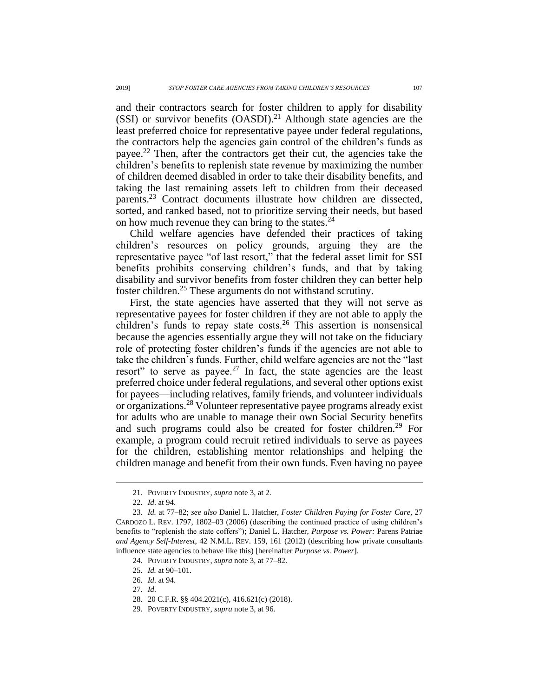and their contractors search for foster children to apply for disability (SSI) or survivor benefits  $(OASDI)^{21}$  Although state agencies are the least preferred choice for representative payee under federal regulations, the contractors help the agencies gain control of the children's funds as payee.<sup>22</sup> Then, after the contractors get their cut, the agencies take the children's benefits to replenish state revenue by maximizing the number of children deemed disabled in order to take their disability benefits, and taking the last remaining assets left to children from their deceased parents.<sup>23</sup> Contract documents illustrate how children are dissected, sorted, and ranked based, not to prioritize serving their needs, but based on how much revenue they can bring to the states. $24$ 

<span id="page-3-0"></span>Child welfare agencies have defended their practices of taking children's resources on policy grounds, arguing they are the representative payee "of last resort," that the federal asset limit for SSI benefits prohibits conserving children's funds, and that by taking disability and survivor benefits from foster children they can better help foster children.<sup>25</sup> These arguments do not withstand scrutiny.

First, the state agencies have asserted that they will not serve as representative payees for foster children if they are not able to apply the children's funds to repay state costs.<sup>26</sup> This assertion is nonsensical because the agencies essentially argue they will not take on the fiduciary role of protecting foster children's funds if the agencies are not able to take the children's funds. Further, child welfare agencies are not the "last resort" to serve as payee.<sup>27</sup> In fact, the state agencies are the least preferred choice under federal regulations, and several other options exist for payees—including relatives, family friends, and volunteer individuals or organizations.<sup>28</sup> Volunteer representative payee programs already exist for adults who are unable to manage their own Social Security benefits and such programs could also be created for foster children.<sup>29</sup> For example, a program could recruit retired individuals to serve as payees for the children, establishing mentor relationships and helping the children manage and benefit from their own funds. Even having no payee

<sup>21.</sup> POVERTY INDUSTRY, *supra* note [3,](#page-0-0) at 2.

<sup>22.</sup> *Id*. at 94.

<sup>23.</sup> *Id.* at 77–82; *see also* Daniel L. Hatcher, *Foster Children Paying for Foster Care*, 27 CARDOZO L. REV. 1797, 1802–03 (2006) (describing the continued practice of using children's benefits to "replenish the state coffers"); Daniel L. Hatcher, *Purpose vs. Power:* Parens Patriae *and Agency Self-Interest*, 42 N.M.L. REV. 159, 161 (2012) (describing how private consultants influence state agencies to behave like this) [hereinafter *Purpose vs. Power*].

<sup>24.</sup> POVERTY INDUSTRY, *supra* note [3,](#page-0-0) at 77–82.

<sup>25.</sup> *Id.* at 90–101.

<sup>26.</sup> *Id*. at 94.

<sup>27.</sup> *Id*.

<sup>28.</sup> 20 C.F.R. §§ 404.2021(c), 416.621(c) (2018).

<sup>29.</sup> POVERTY INDUSTRY, *supra* note [3,](#page-0-0) at 96.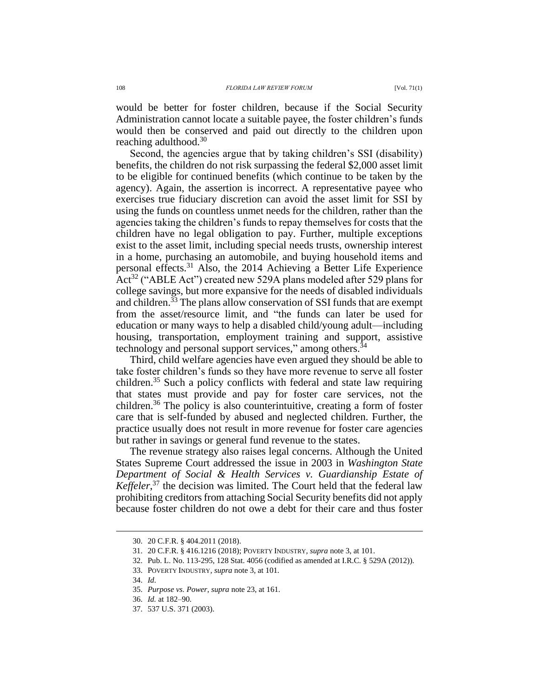would be better for foster children, because if the Social Security Administration cannot locate a suitable payee, the foster children's funds would then be conserved and paid out directly to the children upon reaching adulthood.<sup>30</sup>

Second, the agencies argue that by taking children's SSI (disability) benefits, the children do not risk surpassing the federal \$2,000 asset limit to be eligible for continued benefits (which continue to be taken by the agency). Again, the assertion is incorrect. A representative payee who exercises true fiduciary discretion can avoid the asset limit for SSI by using the funds on countless unmet needs for the children, rather than the agencies taking the children's funds to repay themselves for costs that the children have no legal obligation to pay. Further, multiple exceptions exist to the asset limit, including special needs trusts, ownership interest in a home, purchasing an automobile, and buying household items and personal effects.<sup>31</sup> Also, the 2014 Achieving a Better Life Experience Act<sup>32</sup> ("ABLE Act") created new 529A plans modeled after 529 plans for college savings, but more expansive for the needs of disabled individuals and children.<sup>33</sup> The plans allow conservation of SSI funds that are exempt from the asset/resource limit, and "the funds can later be used for education or many ways to help a disabled child/young adult—including housing, transportation, employment training and support, assistive technology and personal support services," among others.<sup>34</sup>

Third, child welfare agencies have even argued they should be able to take foster children's funds so they have more revenue to serve all foster children.<sup>35</sup> Such a policy conflicts with federal and state law requiring that states must provide and pay for foster care services, not the children.<sup>36</sup> The policy is also counterintuitive, creating a form of foster care that is self-funded by abused and neglected children. Further, the practice usually does not result in more revenue for foster care agencies but rather in savings or general fund revenue to the states.

The revenue strategy also raises legal concerns. Although the United States Supreme Court addressed the issue in 2003 in *Washington State Department of Social & Health Services v. Guardianship Estate of*  Keffeler,<sup>37</sup> the decision was limited. The Court held that the federal law prohibiting creditors from attaching Social Security benefits did not apply because foster children do not owe a debt for their care and thus foster

<sup>30.</sup> 20 C.F.R. § 404.2011 (2018).

<sup>31.</sup> 20 C.F.R. § 416.1216 (2018); POVERTY INDUSTRY*, supra* not[e 3,](#page-0-0) at 101.

<sup>32.</sup> Pub. L. No. 113-295, 128 Stat. 4056 (codified as amended at I.R.C. § 529A (2012)).

<sup>33.</sup> POVERTY INDUSTRY*, supra* note [3,](#page-0-0) at 101.

<sup>34.</sup> *Id*.

<sup>35.</sup> *Purpose vs. Power*, *supra* not[e 23,](#page-3-0) at 161.

<sup>36.</sup> *Id.* at 182–90.

<sup>37.</sup> 537 U.S. 371 (2003).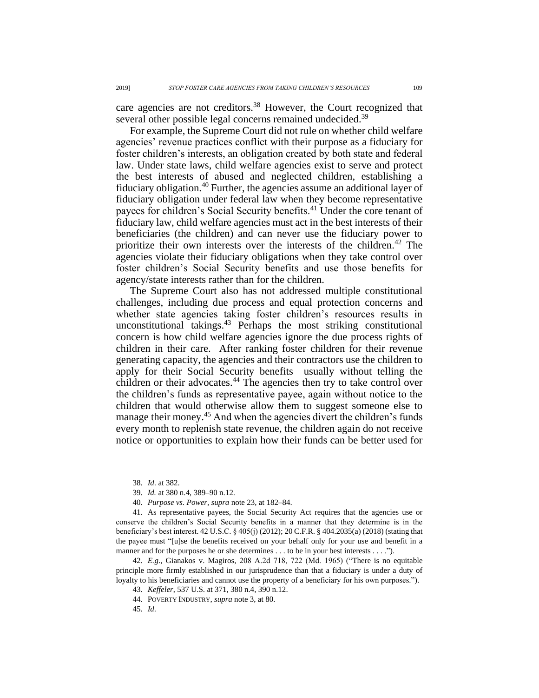care agencies are not creditors.<sup>38</sup> However, the Court recognized that several other possible legal concerns remained undecided.<sup>39</sup>

For example, the Supreme Court did not rule on whether child welfare agencies' revenue practices conflict with their purpose as a fiduciary for foster children's interests, an obligation created by both state and federal law. Under state laws, child welfare agencies exist to serve and protect the best interests of abused and neglected children, establishing a fiduciary obligation.<sup>40</sup> Further, the agencies assume an additional layer of fiduciary obligation under federal law when they become representative payees for children's Social Security benefits.<sup>41</sup> Under the core tenant of fiduciary law, child welfare agencies must act in the best interests of their beneficiaries (the children) and can never use the fiduciary power to prioritize their own interests over the interests of the children.<sup>42</sup> The agencies violate their fiduciary obligations when they take control over foster children's Social Security benefits and use those benefits for agency/state interests rather than for the children.

The Supreme Court also has not addressed multiple constitutional challenges, including due process and equal protection concerns and whether state agencies taking foster children's resources results in unconstitutional takings.<sup>43</sup> Perhaps the most striking constitutional concern is how child welfare agencies ignore the due process rights of children in their care. After ranking foster children for their revenue generating capacity, the agencies and their contractors use the children to apply for their Social Security benefits—usually without telling the children or their advocates.<sup>44</sup> The agencies then try to take control over the children's funds as representative payee, again without notice to the children that would otherwise allow them to suggest someone else to manage their money.<sup>45</sup> And when the agencies divert the children's funds every month to replenish state revenue, the children again do not receive notice or opportunities to explain how their funds can be better used for

<sup>38.</sup> *Id*. at 382.

<sup>39.</sup> *Id.* at 380 n.4, 389–90 n.12.

<sup>40.</sup> *Purpose vs. Power*, *supra* note [23,](#page-3-0) at 182–84.

<sup>41.</sup> As representative payees, the Social Security Act requires that the agencies use or conserve the children's Social Security benefits in a manner that they determine is in the beneficiary's best interest. 42 U.S.C. § 405(j) (2012); 20 C.F.R. § 404.2035(a) (2018) (stating that the payee must "[u]se the benefits received on your behalf only for your use and benefit in a manner and for the purposes he or she determines . . . to be in your best interests . . . .").

<sup>42.</sup> *E.g*., Gianakos v. Magiros, 208 A.2d 718, 722 (Md. 1965) ("There is no equitable principle more firmly established in our jurisprudence than that a fiduciary is under a duty of loyalty to his beneficiaries and cannot use the property of a beneficiary for his own purposes.").

<sup>43.</sup> *Keffeler*, 537 U.S. at 371, 380 n.4, 390 n.12.

<sup>44.</sup> POVERTY INDUSTRY, *supra* note [3,](#page-0-0) at 80.

<sup>45.</sup> *Id*.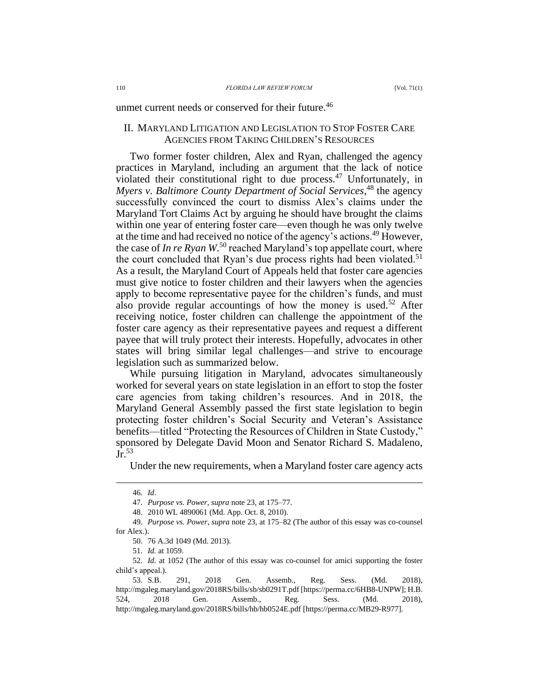### unmet current needs or conserved for their future.<sup>46</sup>

# II. MARYLAND LITIGATION AND LEGISLATION TO STOP FOSTER CARE AGENCIES FROM TAKING CHILDREN'S RESOURCES

Two former foster children, Alex and Ryan, challenged the agency practices in Maryland, including an argument that the lack of notice violated their constitutional right to due process.<sup>47</sup> Unfortunately, in Myers v. Baltimore County Department of Social Services,<sup>48</sup> the agency successfully convinced the court to dismiss Alex's claims under the Maryland Tort Claims Act by arguing he should have brought the claims within one year of entering foster care—even though he was only twelve at the time and had received no notice of the agency's actions.<sup>49</sup> However, the case of *In re Ryan* W<sup>50</sup> reached Maryland's top appellate court, where the court concluded that Ryan's due process rights had been violated.<sup>51</sup> As a result, the Maryland Court of Appeals held that foster care agencies must give notice to foster children and their lawyers when the agencies apply to become representative payee for the children's funds, and must also provide regular accountings of how the money is used.<sup>52</sup> After receiving notice, foster children can challenge the appointment of the foster care agency as their representative payees and request a different payee that will truly protect their interests. Hopefully, advocates in other states will bring similar legal challenges—and strive to encourage legislation such as summarized below.

While pursuing litigation in Maryland, advocates simultaneously worked for several years on state legislation in an effort to stop the foster care agencies from taking children's resources. And in 2018, the Maryland General Assembly passed the first state legislation to begin protecting foster children's Social Security and Veteran's Assistance benefits—titled "Protecting the Resources of Children in State Custody," sponsored by Delegate David Moon and Senator Richard S. Madaleno,  $J_r$ <sup>53</sup>

Under the new requirements, when a Maryland foster care agency acts

 $\overline{a}$ 

51. *Id.* at 1059.

<sup>46.</sup> *Id*.

<sup>47.</sup> *Purpose vs. Power*, *supra* note [23,](#page-3-0) at 175–77.

<sup>48.</sup> 2010 WL 4890061 (Md. App. Oct. 8, 2010).

<sup>49.</sup> *Purpose vs. Power*, *supra* note [23,](#page-3-0) at 175–82 (The author of this essay was co-counsel for Alex.).

<sup>50.</sup> 76 A.3d 1049 (Md. 2013).

<sup>52.</sup> *Id*. at 1052 (The author of this essay was co-counsel for amici supporting the foster child's appeal.).

<sup>53.</sup> S.B. 291, 2018 Gen. Assemb., Reg. Sess. (Md. 2018), http://mgaleg.maryland.gov/2018RS/bills/sb/sb0291T.pdf [https://perma.cc/6HB8-UNPW]; H.B. 524, 2018 Gen. Assemb., Reg. Sess. (Md. 2018), http://mgaleg.maryland.gov/2018RS/bills/hb/hb0524E.pdf [https://perma.cc/MB29-R977].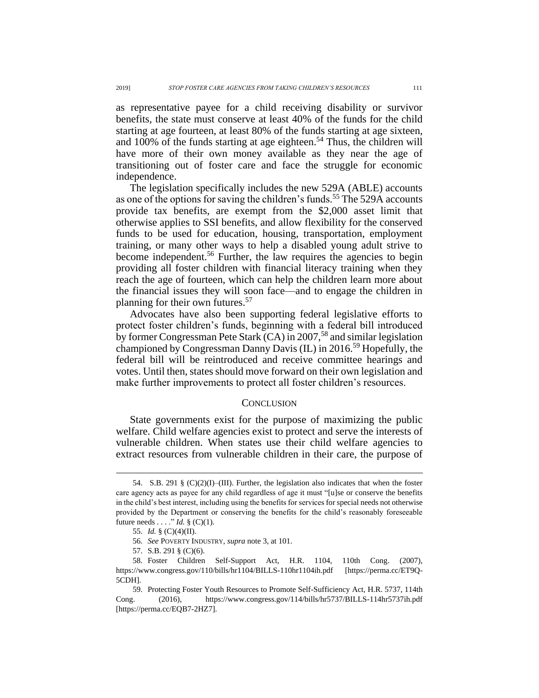as representative payee for a child receiving disability or survivor benefits, the state must conserve at least 40% of the funds for the child starting at age fourteen, at least 80% of the funds starting at age sixteen, and 100% of the funds starting at age eighteen. <sup>54</sup> Thus, the children will have more of their own money available as they near the age of transitioning out of foster care and face the struggle for economic independence.

The legislation specifically includes the new 529A (ABLE) accounts as one of the options for saving the children's funds.<sup>55</sup> The 529A accounts provide tax benefits, are exempt from the \$2,000 asset limit that otherwise applies to SSI benefits, and allow flexibility for the conserved funds to be used for education, housing, transportation, employment training, or many other ways to help a disabled young adult strive to become independent.<sup>56</sup> Further, the law requires the agencies to begin providing all foster children with financial literacy training when they reach the age of fourteen, which can help the children learn more about the financial issues they will soon face—and to engage the children in planning for their own futures.<sup>57</sup>

Advocates have also been supporting federal legislative efforts to protect foster children's funds, beginning with a federal bill introduced by former Congressman Pete Stark  $(CA)$  in 2007,<sup>58</sup> and similar legislation championed by Congressman Danny Davis (IL) in 2016.<sup>59</sup> Hopefully, the federal bill will be reintroduced and receive committee hearings and votes. Until then, states should move forward on their own legislation and make further improvements to protect all foster children's resources.

### **CONCLUSION**

State governments exist for the purpose of maximizing the public welfare. Child welfare agencies exist to protect and serve the interests of vulnerable children. When states use their child welfare agencies to extract resources from vulnerable children in their care, the purpose of

<sup>54.</sup> S.B. 291 §  $(C)(2)(I)$ –(III). Further, the legislation also indicates that when the foster care agency acts as payee for any child regardless of age it must "[u]se or conserve the benefits in the child's best interest, including using the benefits for services for special needs not otherwise provided by the Department or conserving the benefits for the child's reasonably foreseeable future needs  $\ldots$  "*Id.* § (C)(1).

<sup>55.</sup> *Id.* § (C)(4)(II).

<sup>56.</sup> *See* POVERTY INDUSTRY, *supra* not[e 3,](#page-0-0) at 101.

<sup>57.</sup> S.B. 291 § (C)(6).

<sup>58.</sup> Foster Children Self-Support Act, H.R. 1104, 110th Cong. (2007), https://www.congress.gov/110/bills/hr1104/BILLS-110hr1104ih.pdf [https://perma.cc/ET9Q-5CDH].

<sup>59.</sup> Protecting Foster Youth Resources to Promote Self-Sufficiency Act, H.R. 5737, 114th Cong. (2016), https://www.congress.gov/114/bills/hr5737/BILLS-114hr5737ih.pdf [https://perma.cc/EQB7-2HZ7].